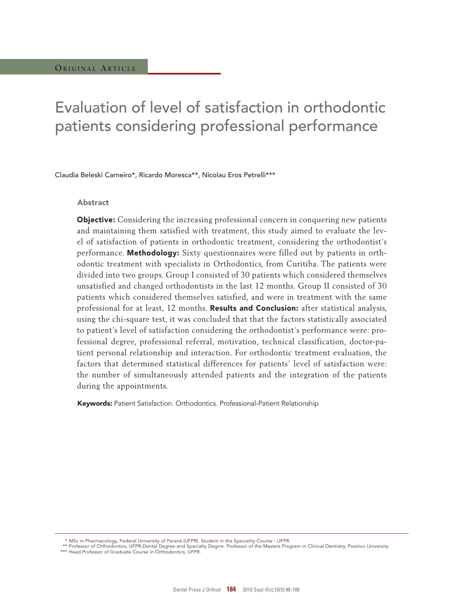# Evaluation of level of satisfaction in orthodontic patients considering professional performance

Claudia Beleski Carneiro\*, Ricardo Moresca\*\*, Nicolau Eros Petrelli\*\*\*

#### Abstract

**Objective:** Considering the increasing professional concern in conquering new patients and maintaining them satisfied with treatment, this study aimed to evaluate the level of satisfaction of patients in orthodontic treatment, considering the orthodontist´s performance. Methodology: Sixty questionnaires were filled out by patients in orthodontic treatment with specialists in Orthodontics, from Curitiba. The patients were divided into two groups. Group I consisted of 30 patients which considered themselves unsatisfied and changed orthodontists in the last 12 months. Group II consisted of 30 patients which considered themselves satisfied, and were in treatment with the same professional for at least, 12 months. Results and Conclusion: after statistical analysis, using the chi-square test, it was concluded that that the factors statistically associated to patient's level of satisfaction considering the orthodontist´s performance were: professional degree, professional referral, motivation, technical classification, doctor-patient personal relationship and interaction. For orthodontic treatment evaluation, the factors that determined statistical differences for patients' level of satisfaction were: the number of simultaneously attended patients and the integration of the patients during the appointments.

Keywords: Patient Satisfaction. Orthodontics. Professional-Patient Relationship

MSc in Pharmacology, Federal University of Paraná (UFPR). Student in the Speciality Course - UFPR.

 <sup>\*\*</sup> Professor of Orthodontics, UFPR,Dental Degree and Specialty Degrre. Professor of the Masters Program in Clinical Dentistry, Positivo University.

<sup>\*\*\*</sup> Head Professor of Graduate Course in Orthodontics, UFPR.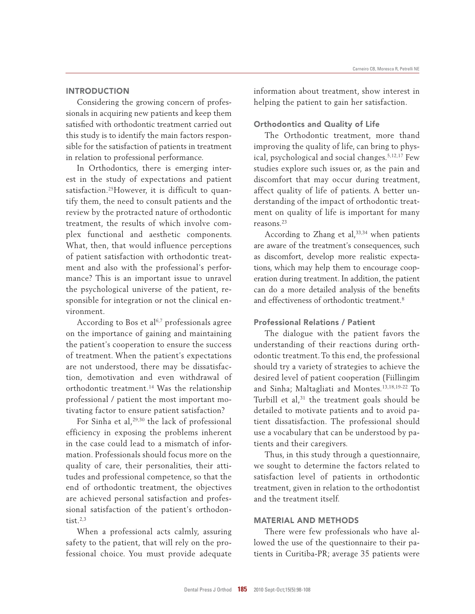## **INTRODUCTION**

Considering the growing concern of professionals in acquiring new patients and keep them satisfied with orthodontic treatment carried out this study is to identify the main factors responsible for the satisfaction of patients in treatment in relation to professional performance.

In Orthodontics, there is emerging interest in the study of expectations and patient satisfaction.25However, it is difficult to quantify them, the need to consult patients and the review by the protracted nature of orthodontic treatment, the results of which involve complex functional and aesthetic components. What, then, that would influence perceptions of patient satisfaction with orthodontic treatment and also with the professional's performance? This is an important issue to unravel the psychological universe of the patient, responsible for integration or not the clinical environment.

According to Bos et  $al^{6,7}$  professionals agree on the importance of gaining and maintaining the patient's cooperation to ensure the success of treatment. When the patient's expectations are not understood, there may be dissatisfaction, demotivation and even withdrawal of orthodontic treatment.<sup>14</sup> Was the relationship professional / patient the most important motivating factor to ensure patient satisfaction?

For Sinha et al,<sup>29,30</sup> the lack of professional efficiency in exposing the problems inherent in the case could lead to a mismatch of information. Professionals should focus more on the quality of care, their personalities, their attitudes and professional competence, so that the end of orthodontic treatment, the objectives are achieved personal satisfaction and professional satisfaction of the patient's orthodontist. $2,3$ 

When a professional acts calmly, assuring safety to the patient, that will rely on the professional choice. You must provide adequate information about treatment, show interest in helping the patient to gain her satisfaction.

#### Orthodontics and Quality of Life

The Orthodontic treatment, more thand improving the quality of life, can bring to physical, psychological and social changes.5,12,17 Few studies explore such issues or, as the pain and discomfort that may occur during treatment, affect quality of life of patients. A better understanding of the impact of orthodontic treatment on quality of life is important for many reasons.<sup>23</sup>

According to Zhang et al,<sup>33,34</sup> when patients are aware of the treatment's consequences, such as discomfort, develop more realistic expectations, which may help them to encourage cooperation during treatment. In addition, the patient can do a more detailed analysis of the benefits and effectiveness of orthodontic treatment.<sup>8</sup>

## Professional Relations / Patient

The dialogue with the patient favors the understanding of their reactions during orthodontic treatment. To this end, the professional should try a variety of strategies to achieve the desired level of patient cooperation (Fiillingim and Sinha; Maltagliati and Montes.13,18,19-22 To Turbill et al, $31$  the treatment goals should be detailed to motivate patients and to avoid patient dissatisfaction. The professional should use a vocabulary that can be understood by patients and their caregivers.

Thus, in this study through a questionnaire, we sought to determine the factors related to satisfaction level of patients in orthodontic treatment, given in relation to the orthodontist and the treatment itself.

# MAtERIAL AnD MEtHODS

There were few professionals who have allowed the use of the questionnaire to their patients in Curitiba-PR; average 35 patients were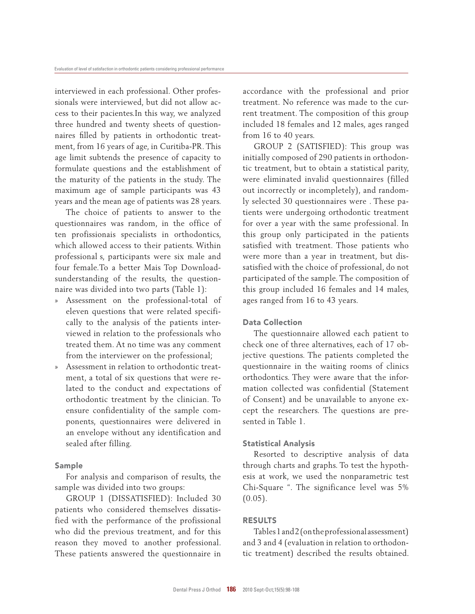interviewed in each professional. Other professionals were interviewed, but did not allow access to their pacientes.In this way, we analyzed three hundred and twenty sheets of questionnaires filled by patients in orthodontic treatment, from 16 years of age, in Curitiba-PR. This age limit subtends the presence of capacity to formulate questions and the establishment of the maturity of the patients in the study. The maximum age of sample participants was 43 years and the mean age of patients was 28 years.

The choice of patients to answer to the questionnaires was random, in the office of ten profissionais specialists in orthodontics, which allowed access to their patients. Within professional s, participants were six male and four female.To a better Mais Top Downloadsunderstanding of the results, the questionnaire was divided into two parts (Table 1):

- » Assessment on the professional-total of eleven questions that were related specifically to the analysis of the patients interviewed in relation to the professionals who treated them. At no time was any comment from the interviewer on the professional;
- » Assessment in relation to orthodontic treatment, a total of six questions that were related to the conduct and expectations of orthodontic treatment by the clinician. To ensure confidentiality of the sample components, questionnaires were delivered in an envelope without any identification and sealed after filling.

## Sample

For analysis and comparison of results, the sample was divided into two groups:

GROUP 1 (DISSATISFIED): Included 30 patients who considered themselves dissatisfied with the performance of the profissional who did the previous treatment, and for this reason they moved to another professional. These patients answered the questionnaire in accordance with the professional and prior treatment. No reference was made to the current treatment. The composition of this group included 18 females and 12 males, ages ranged from 16 to 40 years.

GROUP 2 (SATISFIED): This group was initially composed of 290 patients in orthodontic treatment, but to obtain a statistical parity, were eliminated invalid questionnaires (filled out incorrectly or incompletely), and randomly selected 30 questionnaires were . These patients were undergoing orthodontic treatment for over a year with the same professional. In this group only participated in the patients satisfied with treatment. Those patients who were more than a year in treatment, but dissatisfied with the choice of professional, do not participated of the sample. The composition of this group included 16 females and 14 males, ages ranged from 16 to 43 years.

#### Data Collection

The questionnaire allowed each patient to check one of three alternatives, each of 17 objective questions. The patients completed the questionnaire in the waiting rooms of clinics orthodontics. They were aware that the information collected was confidential (Statement of Consent) and be unavailable to anyone except the researchers. The questions are presented in Table 1.

## Statistical Analysis

Resorted to descriptive analysis of data through charts and graphs. To test the hypothesis at work, we used the nonparametric test Chi-Square ". The significance level was 5%  $(0.05)$ .

#### RESULTS

Tables 1 and 2 (on the professional assessment) and 3 and 4 (evaluation in relation to orthodontic treatment) described the results obtained.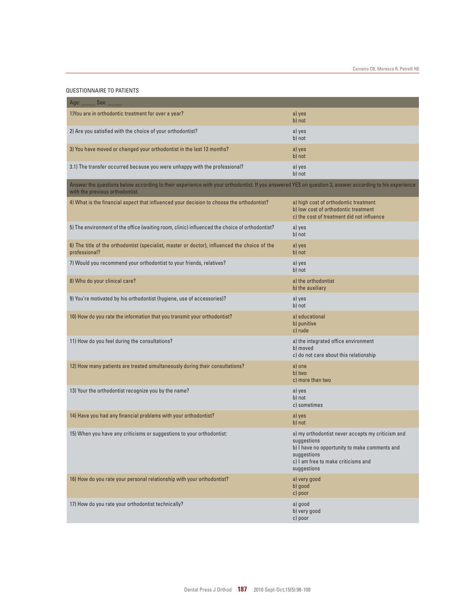#### QUESTIONNAIRE TO PATIENTS

| Sex:<br>Age:                                                                                                                                                                              |                                                                                                                                                                                        |  |  |  |  |
|-------------------------------------------------------------------------------------------------------------------------------------------------------------------------------------------|----------------------------------------------------------------------------------------------------------------------------------------------------------------------------------------|--|--|--|--|
| 1) You are in orthodontic treatment for over a year?                                                                                                                                      | a) yes<br>b) not                                                                                                                                                                       |  |  |  |  |
| 2) Are you satisfied with the choice of your orthodontist?                                                                                                                                | a) yes<br>b) not                                                                                                                                                                       |  |  |  |  |
| 3) You have moved or changed your orthodontist in the last 12 months?                                                                                                                     | a) yes<br>b) not                                                                                                                                                                       |  |  |  |  |
| 3.1) The transfer occurred because you were unhappy with the professional?                                                                                                                | a) yes<br>b) not                                                                                                                                                                       |  |  |  |  |
| Answer the questions below according to their experience with your orthodontist. If you answered YES on question 3, answer according to his experience<br>with the previous orthodontist. |                                                                                                                                                                                        |  |  |  |  |
| 4) What is the financial aspect that influenced your decision to choose the orthodontist?                                                                                                 | a) high cost of orthodontic treatment<br>b) low cost of orthodontic treatment<br>c) the cost of treatment did not influence                                                            |  |  |  |  |
| 5) The environment of the office (waiting room, clinic) influenced the choice of orthodontist?                                                                                            | a) yes<br>b) not                                                                                                                                                                       |  |  |  |  |
| 6) The title of the orthodontist (specialist, master or doctor), influenced the choice of the<br>professional?                                                                            | a) yes<br>b) not                                                                                                                                                                       |  |  |  |  |
| 7) Would you recommend your orthodontist to your friends, relatives?                                                                                                                      | a) yes<br>b) not                                                                                                                                                                       |  |  |  |  |
| 8) Who do your clinical care?                                                                                                                                                             | a) the orthodontist<br>b) the auxiliary                                                                                                                                                |  |  |  |  |
| 9) You're motivated by his orthodontist (hygiene, use of accessories)?                                                                                                                    | a) yes<br>b) not                                                                                                                                                                       |  |  |  |  |
| 10) How do you rate the information that you transmit your orthodontist?                                                                                                                  | a) educational<br>b) punitive<br>c) rude                                                                                                                                               |  |  |  |  |
| 11) How do you feel during the consultations?                                                                                                                                             | a) the integrated office environment<br>b) moved<br>c) do not care about this relationship                                                                                             |  |  |  |  |
| 12) How many patients are treated simultaneously during their consultations?                                                                                                              | a) one<br>b) two<br>c) more than two                                                                                                                                                   |  |  |  |  |
| 13) Your the orthodontist recognize you by the name?                                                                                                                                      | a) yes<br>b) not<br>c) sometimes                                                                                                                                                       |  |  |  |  |
| 14) Have you had any financial problems with your orthodontist?                                                                                                                           | a) yes<br>b) not                                                                                                                                                                       |  |  |  |  |
| 15) When you have any criticisms or suggestions to your orthodontist:                                                                                                                     | a) my orthodontist never accepts my criticism and<br>suggestions<br>b) I have no opportunity to make comments and<br>suggestions<br>c) I am free to make criticisms and<br>suggestions |  |  |  |  |
| 16) How do you rate your personal relationship with your orthodontist?                                                                                                                    | a) very good<br>b) good<br>c) poor                                                                                                                                                     |  |  |  |  |
| 17) How do you rate your orthodontist technically?                                                                                                                                        | a) good<br>b) very good<br>c) poor                                                                                                                                                     |  |  |  |  |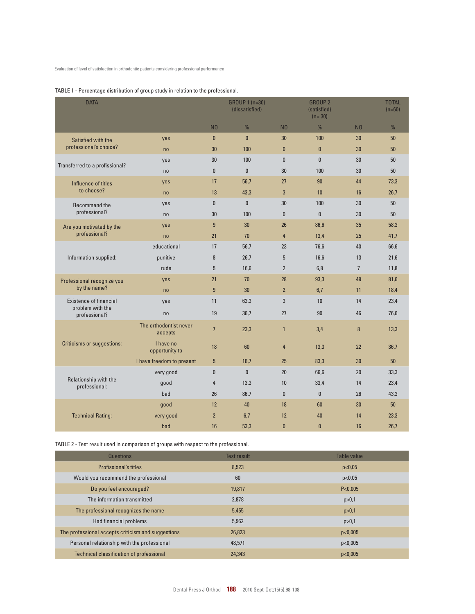| <b>DATA</b>                                                        |                                   |                 | GROUP 1 (n=30)<br>(dissatisfied) |                | <b>GROUP 2</b><br>(satisfied)<br>$(n=30)$ |                | <b>TOTAL</b><br>$(n=60)$ |
|--------------------------------------------------------------------|-----------------------------------|-----------------|----------------------------------|----------------|-------------------------------------------|----------------|--------------------------|
|                                                                    |                                   | N <sub>0</sub>  | $\frac{0}{0}$                    | N <sub>0</sub> | $\frac{0}{0}$                             | N <sub>0</sub> | $\frac{0}{0}$            |
| Satisfied with the                                                 | yes                               | $\mathbf{0}$    | $\mathbf{0}$                     | 30             | 100                                       | 30             | 50                       |
| professional's choice?                                             | no                                | 30              | 100                              | $\mathbf{0}$   | $\mathbf{0}$                              | 30             | 50                       |
| Transferred to a profissional?                                     | yes                               | 30              | 100                              | $\pmb{0}$      | $\pmb{0}$                                 | 30             | 50                       |
|                                                                    | no                                | $\mathbf{0}$    | $\mathbf{0}$                     | 30             | 100                                       | 30             | 50                       |
| Influence of titles<br>to choose?                                  | yes                               | 17              | 56,7                             | 27             | 90                                        | 44             | 73,3                     |
|                                                                    | no                                | 13              | 43,3                             | 3              | 10                                        | 16             | 26,7                     |
| Recommend the                                                      | yes                               | $\mathbf{0}$    | $\mathbf{0}$                     | 30             | 100                                       | 30             | 50                       |
| professional?                                                      | no                                | 30              | 100                              | $\pmb{0}$      | $\mathbf{0}$                              | 30             | 50                       |
| Are you motivated by the                                           | yes                               | 9               | 30                               | 26             | 86,6                                      | 35             | 58,3                     |
| professional?                                                      | no                                | 21              | 70                               | $\overline{4}$ | 13,4                                      | 25             | 41,7                     |
|                                                                    | educational                       | 17              | 56,7                             | 23             | 76,6                                      | 40             | 66,6                     |
| Information supplied:                                              | punitive                          | 8               | 26,7                             | 5              | 16,6                                      | 13             | 21,6                     |
|                                                                    | rude                              | 5               | 16,6                             | $\overline{2}$ | 6,8                                       | $\overline{7}$ | 11,8                     |
| Professional recognize you                                         | yes                               | 21              | 70                               | 28             | 93,3                                      | 49             | 81,6                     |
| by the name?                                                       | no                                | 9               | 30                               | $\overline{2}$ | 6,7                                       | 11             | 18,4                     |
| <b>Existence of financial</b><br>problem with the<br>professional? | yes                               | 11              | 63,3                             | 3              | 10                                        | 14             | 23,4                     |
|                                                                    | no                                | 19              | 36,7                             | 27             | 90                                        | 46             | 76,6                     |
| <b>Criticisms or suggestions:</b>                                  | The orthodontist never<br>accepts | $\overline{7}$  | 23,3                             | $\mathbf{1}$   | 3,4                                       | 8              | 13,3                     |
|                                                                    | I have no<br>opportunity to       | 18              | 60                               | $\overline{4}$ | 13,3                                      | 22             | 36,7                     |
|                                                                    | I have freedom to present         | $5\phantom{.0}$ | 16,7                             | 25             | 83,3                                      | 30             | 50                       |
| Relationship with the<br>professional:                             | very good                         | $\bf{0}$        | $\mathbf{0}$                     | 20             | 66,6                                      | 20             | 33,3                     |
|                                                                    | good                              | $\overline{4}$  | 13,3                             | 10             | 33,4                                      | 14             | 23,4                     |
|                                                                    | bad                               | 26              | 86,7                             | $\pmb{0}$      | $\mathbf{0}$                              | 26             | 43,3                     |
|                                                                    | good                              | 12              | 40                               | 18             | 60                                        | 30             | 50                       |
| <b>Technical Rating:</b>                                           | very good                         | $\overline{2}$  | 6,7                              | 12             | 40                                        | 14             | 23,3                     |
|                                                                    | bad                               | 16              | 53,3                             | $\bf{0}$       | $\mathbf{0}$                              | 16             | 26,7                     |

#### TABLE 1 - Percentage distribution of group study in relation to the professional.

TABLE 2 - Test result used in comparison of groups with respect to the professional.

| Questions                                          | <b>Test result</b> | Table value |
|----------------------------------------------------|--------------------|-------------|
| <b>Profissional's titles</b>                       | 8,523              | p<0,05      |
| Would you recommend the professional               | 60                 | p<0.05      |
| Do you feel encouraged?                            | 19.817             | P < 0.005   |
| The information transmitted                        | 2,878              | p > 0,1     |
| The professional recognizes the name               | 5,455              | p > 0,1     |
| Had financial problems                             | 5,962              | p > 0,1     |
| The professional accepts criticism and suggestions | 26,823             | p<0.005     |
| Personal relationship with the professional        | 48.571             | p<0.005     |
| Technical classification of professional           | 24,343             | p<0.005     |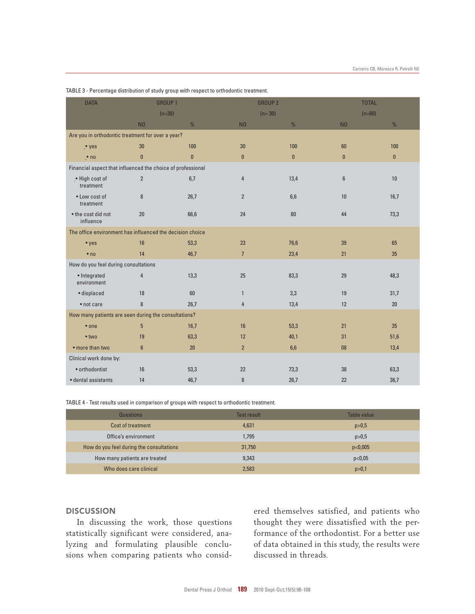| <b>DATA</b>                                                 |                                      | <b>GROUP1</b> |                | <b>GROUP 2</b> |                | <b>TOTAL</b>    |  |
|-------------------------------------------------------------|--------------------------------------|---------------|----------------|----------------|----------------|-----------------|--|
|                                                             |                                      | $(n=30)$      | $(n=30)$       |                | $(n=60)$       |                 |  |
|                                                             | N <sub>0</sub>                       | $\frac{0}{0}$ | N <sub>0</sub> | $\frac{0}{0}$  | N <sub>0</sub> | $\frac{0}{0}$   |  |
| Are you in orthodontic treatment for over a year?           |                                      |               |                |                |                |                 |  |
| $.$ yes                                                     | 30                                   | 100           | 30             | 100            | 60             | 100             |  |
| $\cdot$ no                                                  | $\bf{0}$                             | $\bf{0}$      | $\mathbf{0}$   | $\mathbf{0}$   | $\mathbf{0}$   | $\mathbf{0}$    |  |
| Financial aspect that influenced the choice of professional |                                      |               |                |                |                |                 |  |
| .• High cost of<br>treatment                                | $\overline{2}$                       | 6,7           | $\overline{4}$ | 13,4           | $6\phantom{1}$ | 10 <sup>1</sup> |  |
| • Low cost of<br>treatment                                  | 8                                    | 26,7          | $\overline{2}$ | 6,6            | 10             | 16,7            |  |
| • the cost did not<br>influence                             | 20                                   | 66,6          | 24             | 80             | 44             | 73,3            |  |
| The office environment has influenced the decision choice   |                                      |               |                |                |                |                 |  |
| • yes                                                       | 16                                   | 53,3          | 23             | 76,6           | 39             | 65              |  |
| $\bullet$ no                                                | 14                                   | 46,7          | $\overline{7}$ | 23,4           | 21             | 35              |  |
|                                                             | How do you feel during consultations |               |                |                |                |                 |  |
| • Integrated<br>environment                                 | $\overline{4}$                       | 13,3          | 25             | 83,3           | 29             | 48,3            |  |
| · displaced                                                 | 18                                   | 60            | $\mathbf{1}$   | 3,3            | 19             | 31,7            |  |
| • not care                                                  | 8                                    | 26,7          | $\overline{4}$ | 13,4           | 12             | 20              |  |
| How many patients are seen during the consultations?        |                                      |               |                |                |                |                 |  |
| $•$ one                                                     | $5\phantom{.0}$                      | 16,7          | 16             | 53,3           | 21             | 35              |  |
| $\bullet$ two                                               | 19                                   | 63,3          | 12             | 40,1           | 31             | 51,6            |  |
| • more than two                                             | $6\phantom{1}$                       | 20            | 2 <sup>2</sup> | 6,6            | 08             | 13,4            |  |
| Clinical work done by:                                      |                                      |               |                |                |                |                 |  |
| • orthodontist                                              | 16                                   | 53,3          | 22             | 73,3           | 38             | 63,3            |  |
| · dental assistants                                         | 14                                   | 46,7          | $\bf 8$        | 26,7           | 22             | 36,7            |  |

TABLE 3 - Percentage distribution of study group with respect to orthodontic treatment.

TABLE 4 - Test results used in comparison of groups with respect to orthodontic treatment.

| Questions                                | Test result | Table value |
|------------------------------------------|-------------|-------------|
| Cost of treatment                        | 4,631       | p > 0.5     |
| Office's environment                     | 1,795       | p > 0,5     |
| How do you feel during the consultations | 31,750      | p<0,005     |
| How many patients are treated            | 9,343       | p<0,05      |
| Who does care clinical                   | 2,583       | p > 0,1     |

#### **DISCUSSION**

In discussing the work, those questions statistically significant were considered, analyzing and formulating plausible conclusions when comparing patients who considered themselves satisfied, and patients who thought they were dissatisfied with the performance of the orthodontist. For a better use of data obtained in this study, the results were discussed in threads.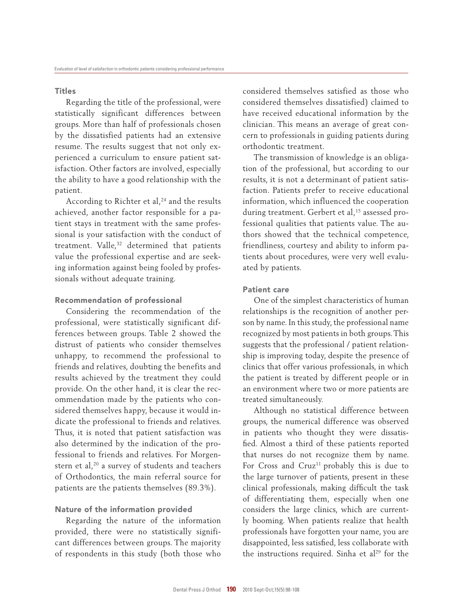#### **Titles**

Regarding the title of the professional, were statistically significant differences between groups. More than half of professionals chosen by the dissatisfied patients had an extensive resume. The results suggest that not only experienced a curriculum to ensure patient satisfaction. Other factors are involved, especially the ability to have a good relationship with the patient.

According to Richter et al,<sup>24</sup> and the results achieved, another factor responsible for a patient stays in treatment with the same professional is your satisfaction with the conduct of treatment. Valle,<sup>32</sup> determined that patients value the professional expertise and are seeking information against being fooled by professionals without adequate training.

#### Recommendation of professional

Considering the recommendation of the professional, were statistically significant differences between groups. Table 2 showed the distrust of patients who consider themselves unhappy, to recommend the professional to friends and relatives, doubting the benefits and results achieved by the treatment they could provide. On the other hand, it is clear the recommendation made by the patients who considered themselves happy, because it would indicate the professional to friends and relatives. Thus, it is noted that patient satisfaction was also determined by the indication of the professional to friends and relatives. For Morgenstern et al,<sup>20</sup> a survey of students and teachers of Orthodontics, the main referral source for patients are the patients themselves (89.3%).

#### Nature of the information provided

Regarding the nature of the information provided, there were no statistically significant differences between groups. The majority of respondents in this study (both those who considered themselves satisfied as those who considered themselves dissatisfied) claimed to have received educational information by the clinician. This means an average of great concern to professionals in guiding patients during orthodontic treatment.

The transmission of knowledge is an obligation of the professional, but according to our results, it is not a determinant of patient satisfaction. Patients prefer to receive educational information, which influenced the cooperation during treatment. Gerbert et al,<sup>15</sup> assessed professional qualities that patients value. The authors showed that the technical competence, friendliness, courtesy and ability to inform patients about procedures, were very well evaluated by patients.

## Patient care

One of the simplest characteristics of human relationships is the recognition of another person by name. In this study, the professional name recognized by most patients in both groups. This suggests that the professional / patient relationship is improving today, despite the presence of clinics that offer various professionals, in which the patient is treated by different people or in an environment where two or more patients are treated simultaneously.

Although no statistical difference between groups, the numerical difference was observed in patients who thought they were dissatisfied. Almost a third of these patients reported that nurses do not recognize them by name. For Cross and Cruz<sup>11</sup> probably this is due to the large turnover of patients, present in these clinical professionals, making difficult the task of differentiating them, especially when one considers the large clinics, which are currently booming. When patients realize that health professionals have forgotten your name, you are disappointed, less satisfied, less collaborate with the instructions required. Sinha et al<sup>29</sup> for the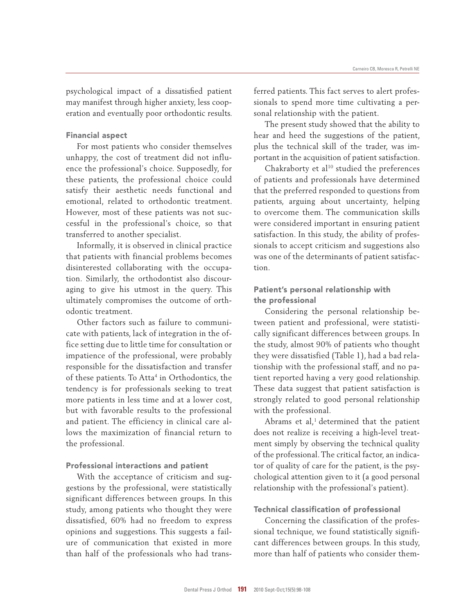psychological impact of a dissatisfied patient may manifest through higher anxiety, less cooperation and eventually poor orthodontic results.

#### Financial aspect

For most patients who consider themselves unhappy, the cost of treatment did not influence the professional's choice. Supposedly, for these patients, the professional choice could satisfy their aesthetic needs functional and emotional, related to orthodontic treatment. However, most of these patients was not successful in the professional's choice, so that transferred to another specialist.

Informally, it is observed in clinical practice that patients with financial problems becomes disinterested collaborating with the occupation. Similarly, the orthodontist also discouraging to give his utmost in the query. This ultimately compromises the outcome of orthodontic treatment.

Other factors such as failure to communicate with patients, lack of integration in the office setting due to little time for consultation or impatience of the professional, were probably responsible for the dissatisfaction and transfer of these patients. To Atta<sup>4</sup> in Orthodontics, the tendency is for professionals seeking to treat more patients in less time and at a lower cost, but with favorable results to the professional and patient. The efficiency in clinical care allows the maximization of financial return to the professional.

# Professional interactions and patient

With the acceptance of criticism and suggestions by the professional, were statistically significant differences between groups. In this study, among patients who thought they were dissatisfied, 60% had no freedom to express opinions and suggestions. This suggests a failure of communication that existed in more than half of the professionals who had transferred patients. This fact serves to alert professionals to spend more time cultivating a personal relationship with the patient.

The present study showed that the ability to hear and heed the suggestions of the patient, plus the technical skill of the trader, was important in the acquisition of patient satisfaction.

Chakraborty et al<sup>10</sup> studied the preferences of patients and professionals have determined that the preferred responded to questions from patients, arguing about uncertainty, helping to overcome them. The communication skills were considered important in ensuring patient satisfaction. In this study, the ability of professionals to accept criticism and suggestions also was one of the determinants of patient satisfaction.

# Patient's personal relationship with the professional

Considering the personal relationship between patient and professional, were statistically significant differences between groups. In the study, almost 90% of patients who thought they were dissatisfied (Table 1), had a bad relationship with the professional staff, and no patient reported having a very good relationship. These data suggest that patient satisfaction is strongly related to good personal relationship with the professional.

Abrams et al, $<sup>1</sup>$  determined that the patient</sup> does not realize is receiving a high-level treatment simply by observing the technical quality of the professional. The critical factor, an indicator of quality of care for the patient, is the psychological attention given to it (a good personal relationship with the professional's patient).

#### Technical classification of professional

Concerning the classification of the professional technique, we found statistically significant differences between groups. In this study, more than half of patients who consider them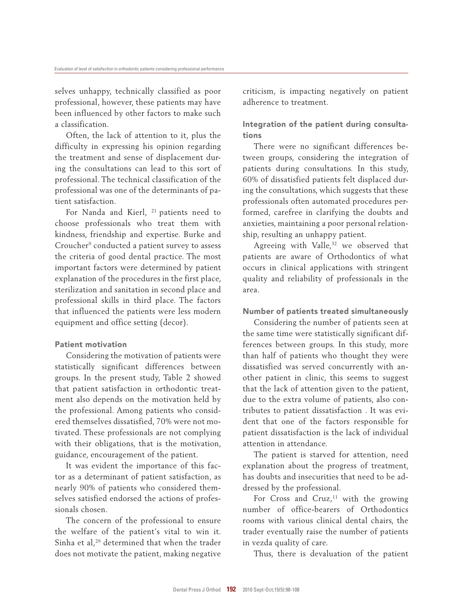selves unhappy, technically classified as poor professional, however, these patients may have been influenced by other factors to make such a classification.

Often, the lack of attention to it, plus the difficulty in expressing his opinion regarding the treatment and sense of displacement during the consultations can lead to this sort of professional. The technical classification of the professional was one of the determinants of patient satisfaction.

For Nanda and Kierl, <sup>21</sup> patients need to choose professionals who treat them with kindness, friendship and expertise. Burke and Croucher<sup>9</sup> conducted a patient survey to assess the criteria of good dental practice. The most important factors were determined by patient explanation of the procedures in the first place, sterilization and sanitation in second place and professional skills in third place. The factors that influenced the patients were less modern equipment and office setting (decor).

#### Patient motivation

Considering the motivation of patients were statistically significant differences between groups. In the present study, Table 2 showed that patient satisfaction in orthodontic treatment also depends on the motivation held by the professional. Among patients who considered themselves dissatisfied, 70% were not motivated. These professionals are not complying with their obligations, that is the motivation, guidance, encouragement of the patient.

It was evident the importance of this factor as a determinant of patient satisfaction, as nearly 90% of patients who considered themselves satisfied endorsed the actions of professionals chosen.

The concern of the professional to ensure the welfare of the patient's vital to win it. Sinha et al,<sup>29</sup> determined that when the trader does not motivate the patient, making negative criticism, is impacting negatively on patient adherence to treatment.

# Integration of the patient during consultations

There were no significant differences between groups, considering the integration of patients during consultations. In this study, 60% of dissatisfied patients felt displaced during the consultations, which suggests that these professionals often automated procedures performed, carefree in clarifying the doubts and anxieties, maintaining a poor personal relationship, resulting an unhappy patient.

Agreeing with Valle,<sup>32</sup> we observed that patients are aware of Orthodontics of what occurs in clinical applications with stringent quality and reliability of professionals in the area.

## number of patients treated simultaneously

Considering the number of patients seen at the same time were statistically significant differences between groups. In this study, more than half of patients who thought they were dissatisfied was served concurrently with another patient in clinic, this seems to suggest that the lack of attention given to the patient, due to the extra volume of patients, also contributes to patient dissatisfaction . It was evident that one of the factors responsible for patient dissatisfaction is the lack of individual attention in attendance.

The patient is starved for attention, need explanation about the progress of treatment, has doubts and insecurities that need to be addressed by the professional.

For Cross and Cruz, $<sup>11</sup>$  with the growing</sup> number of office-bearers of Orthodontics rooms with various clinical dental chairs, the trader eventually raise the number of patients in vezda quality of care.

Thus, there is devaluation of the patient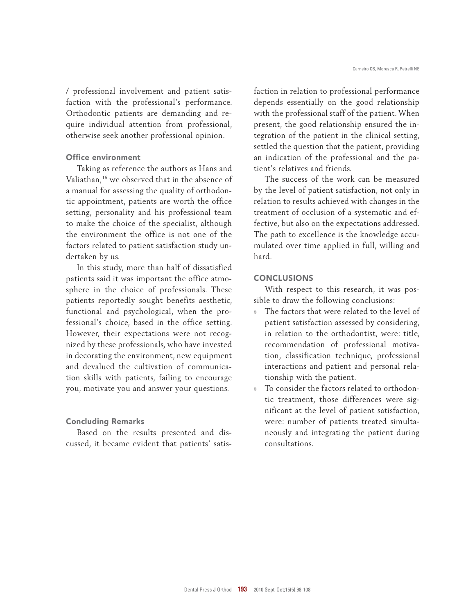/ professional involvement and patient satisfaction with the professional's performance. Orthodontic patients are demanding and require individual attention from professional, otherwise seek another professional opinion.

#### Office environment

Taking as reference the authors as Hans and Valiathan,<sup>16</sup> we observed that in the absence of a manual for assessing the quality of orthodontic appointment, patients are worth the office setting, personality and his professional team to make the choice of the specialist, although the environment the office is not one of the factors related to patient satisfaction study undertaken by us.

In this study, more than half of dissatisfied patients said it was important the office atmosphere in the choice of professionals. These patients reportedly sought benefits aesthetic, functional and psychological, when the professional's choice, based in the office setting. However, their expectations were not recognized by these professionals, who have invested in decorating the environment, new equipment and devalued the cultivation of communication skills with patients, failing to encourage you, motivate you and answer your questions.

#### Concluding Remarks

Based on the results presented and discussed, it became evident that patients' satisfaction in relation to professional performance depends essentially on the good relationship with the professional staff of the patient. When present, the good relationship ensured the integration of the patient in the clinical setting, settled the question that the patient, providing an indication of the professional and the patient's relatives and friends.

The success of the work can be measured by the level of patient satisfaction, not only in relation to results achieved with changes in the treatment of occlusion of a systematic and effective, but also on the expectations addressed. The path to excellence is the knowledge accumulated over time applied in full, willing and hard.

#### **CONCLUSIONS**

With respect to this research, it was possible to draw the following conclusions:

- The factors that were related to the level of patient satisfaction assessed by considering, in relation to the orthodontist, were: title, recommendation of professional motivation, classification technique, professional interactions and patient and personal relationship with the patient.
- » To consider the factors related to orthodontic treatment, those differences were significant at the level of patient satisfaction, were: number of patients treated simultaneously and integrating the patient during consultations.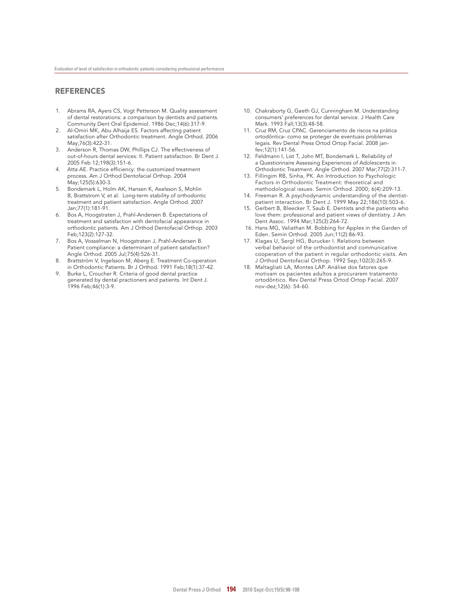#### **REFERENCES**

- 1. Abrams RA, Ayers CS, Vogt Petterson M. Quality assessment of dental restorations: a comparison by dentists and patients. Community Dent Oral Epidemiol. 1986 Dec;14(6):317-9.
- 2. Al-Omiri MK, Abu Alhaija ES. Factors affecting patient satisfaction after Orthodontic treatment. Angle Orthod. 2006 May;76(3):422-31.
- 3. Anderson R, Thomas DW, Phillips CJ. The effectiveness of out-of-hours dental services: II. Patient satisfaction. Br Dent J. 2005 Feb 12;198(3):151-6.
- 4. Atta AE. Practice efficiency: the customized treatment process. Am J Orthod Dentofacial Orthop. 2004 May;125(5):630-3.
- 5. Bondemark L, Holm AK, Hansen K, Axelsson S, Mohlin B, Brattstrom V, et al. Long-term stability of orthodontic treatment and patient satisfaction. Angle Orthod. 2007 Jan;77(1):181-91.
- 6. Bos A, Hoogstraten J, Prahl-Andersen B. Expectations of treatment and satisfaction with dentofacial appearance in orthodontic patients. Am J Orthod Dentofacial Orthop. 2003 Feb;123(2):127-32.
- Bos A, Vosselman N, Hoogstraten J, Prahl-Andersen B. Patient compliance: a determinant of patient satisfaction? Angle Orthod. 2005 Jul;75(4):526-31.
- 8. Brattström V, Ingelsson M, Aberg E. Treatment Co-operation in Orthodontic Patients. Br J Orthod. 1991 Feb;18(1):37-42.
- 9. Burke L, Croucher R. Criteria of good dental practice generated by dental practioners and patients. Int Dent J. 1996 Feb;46(1):3-9.
- 10. Chakraborty G, Gaeth GJ, Cunningham M. Understanding consumers' preferences for dental service. J Health Care Mark. 1993 Fall;13(3):48-58.
- 11. Cruz RM, Cruz CPAC. Gerenciamento de riscos na prática ortodôntica- como se proteger de eventuais problemas legais. Rev Dental Press Ortod Ortop Facial. 2008 janfev;12(1):141-56.
- 12. Feldmann I, List T, John MT, Bondemark L. Reliability of a Questionnaire Assessing Experiences of Adolescents in Orthodontic Treatment. Angle Orthod. 2007 Mar;77(2):311-7.
- 13. Fillingim RB, Sinha, PK. An Introduction to Psychologic Factors in Orthodontic Treatment: theoretical and methodological issues. Semin Orthod. 2000; 6(4):209-13.
- 14. Freeman R. A psychodynamic understanding of the dentistpatient interaction. Br Dent J. 1999 May 22;186(10):503-6.
- 15. Gerbert B, Bleecker T, Saub E. Dentists and the patients who love them: professional and patient views of dentistry. J Am Dent Assoc. 1994 Mar;125(3):264-72.
- 16. Hans MG, Valiathan M. Bobbing for Apples in the Garden of Eden. Semin Orthod. 2005 Jun;11(2):86-93.
- 17. Klages U, Sergl HG, Burucker I. Relations between verbal behavior of the orthodontist and communicative cooperation of the patient in regular orthodontic visits. Am J Orthod Dentofacial Orthop. 1992 Sep;102(3):265-9.
- 18. Maltagliati LA, Montes LAP. Análise dos fatores que motivam os pacientes adultos a procurarem tratamento ortodôntico. Rev Dental Press Ortod Ortop Facial. 2007 nov-dez;12(6): 54-60.